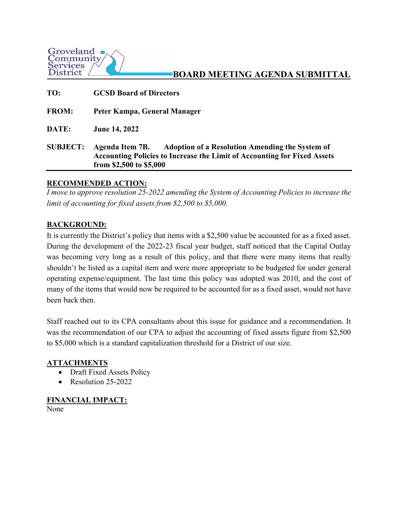

# **BOARD MEETING AGENDA SUBMITTAL**

| TO:             | <b>GCSD Board of Directors</b>                                                                                                                                                          |
|-----------------|-----------------------------------------------------------------------------------------------------------------------------------------------------------------------------------------|
| <b>FROM:</b>    | Peter Kampa, General Manager                                                                                                                                                            |
| DATE:           | <b>June 14, 2022</b>                                                                                                                                                                    |
| <b>SUBJECT:</b> | <b>Adoption of a Resolution Amending the System of</b><br>Agenda Item 7B.<br><b>Accounting Policies to Increase the Limit of Accounting for Fixed Assets</b><br>from \$2,500 to \$5,000 |

### **RECOMMENDED ACTION:**

*I move to approve resolution 25-2022 amending the System of Accounting Policies to increase the limit of accounting for fixed assets from \$2,500 to \$5,000.* 

# **BACKGROUND:**

It is currently the District's policy that items with a \$2,500 value be accounted for as a fixed asset. During the development of the 2022-23 fiscal year budget, staff noticed that the Capital Outlay was becoming very long as a result of this policy, and that there were many items that really shouldn't be listed as a capital item and were more appropriate to be budgeted for under general operating expense/equipment. The last time this policy was adopted was 2010, and the cost of many of the items that would now be required to be accounted for as a fixed asset, would not have been back then.

Staff reached out to its CPA consultants about this issue for guidance and a recommendation. It was the recommendation of our CPA to adjust the accounting of fixed assets figure from \$2,500 to \$5,000 which is a standard capitalization threshold for a District of our size.

# **ATTACHMENTS**

- Draft Fixed Assets Policy
- Resolution 25-2022

# **FINANCIAL IMPACT:**

None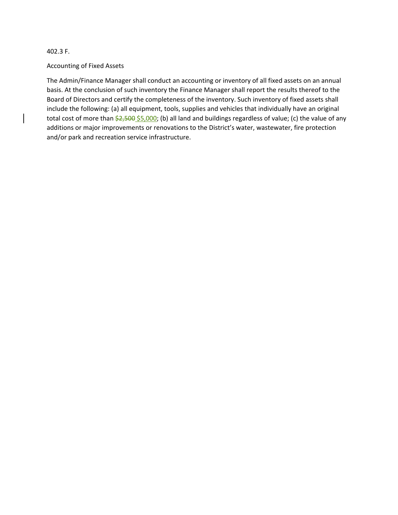402.3 F.

#### Accounting of Fixed Assets

The Admin/Finance Manager shall conduct an accounting or inventory of all fixed assets on an annual basis. At the conclusion of such inventory the Finance Manager shall report the results thereof to the Board of Directors and certify the completeness of the inventory. Such inventory of fixed assets shall include the following: (a) all equipment, tools, supplies and vehicles that individually have an original total cost of more than  $\frac{22,500}{55,000}$ ; (b) all land and buildings regardless of value; (c) the value of any additions or major improvements or renovations to the District's water, wastewater, fire protection and/or park and recreation service infrastructure.